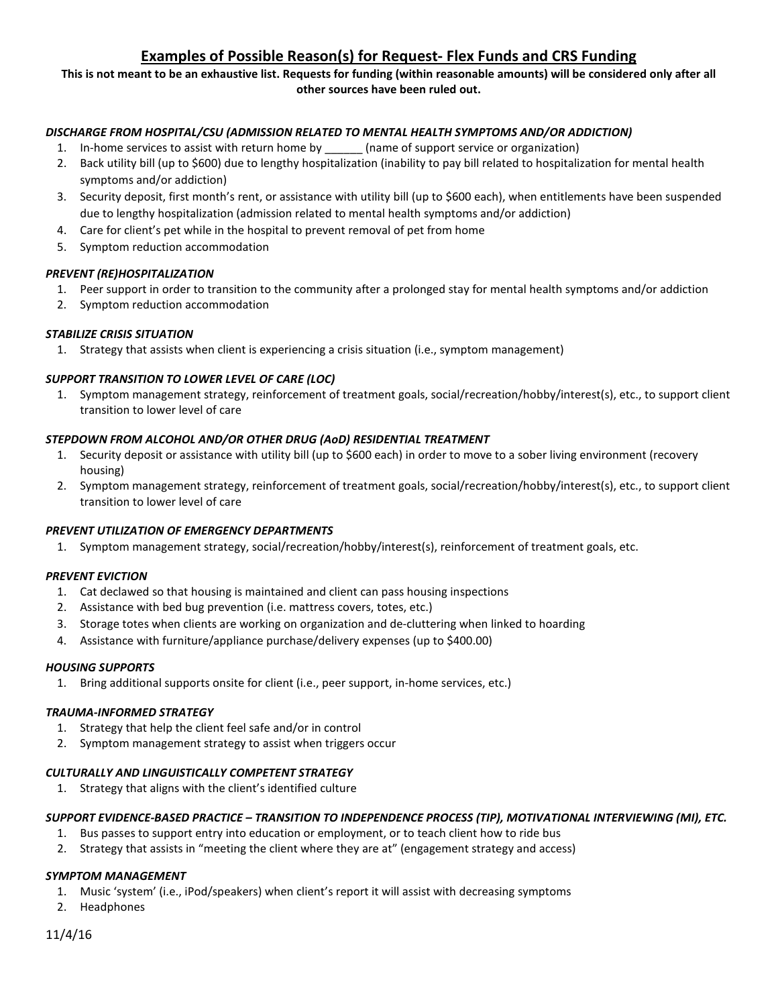# **Examples of Possible Reason(s) for Request- Flex Funds and CRS Funding**

**This is not meant to be an exhaustive list. Requests for funding (within reasonable amounts) will be considered only after all other sources have been ruled out.**

## *DISCHARGE FROM HOSPITAL/CSU (ADMISSION RELATED TO MENTAL HEALTH SYMPTOMS AND/OR ADDICTION)*

- 1. In-home services to assist with return home by \_\_\_\_\_\_ (name of support service or organization)
- 2. Back utility bill (up to \$600) due to lengthy hospitalization (inability to pay bill related to hospitalization for mental health symptoms and/or addiction)
- 3. Security deposit, first month's rent, or assistance with utility bill (up to \$600 each), when entitlements have been suspended due to lengthy hospitalization (admission related to mental health symptoms and/or addiction)
- 4. Care for client's pet while in the hospital to prevent removal of pet from home
- 5. Symptom reduction accommodation

#### *PREVENT (RE)HOSPITALIZATION*

- 1. Peer support in order to transition to the community after a prolonged stay for mental health symptoms and/or addiction
- 2. Symptom reduction accommodation

## *STABILIZE CRISIS SITUATION*

1. Strategy that assists when client is experiencing a crisis situation (i.e., symptom management)

## *SUPPORT TRANSITION TO LOWER LEVEL OF CARE (LOC)*

1. Symptom management strategy, reinforcement of treatment goals, social/recreation/hobby/interest(s), etc., to support client transition to lower level of care

## *STEPDOWN FROM ALCOHOL AND/OR OTHER DRUG (AoD) RESIDENTIAL TREATMENT*

- 1. Security deposit or assistance with utility bill (up to \$600 each) in order to move to a sober living environment (recovery housing)
- 2. Symptom management strategy, reinforcement of treatment goals, social/recreation/hobby/interest(s), etc., to support client transition to lower level of care

#### *PREVENT UTILIZATION OF EMERGENCY DEPARTMENTS*

1. Symptom management strategy, social/recreation/hobby/interest(s), reinforcement of treatment goals, etc.

#### *PREVENT EVICTION*

- 1. Cat declawed so that housing is maintained and client can pass housing inspections
- 2. Assistance with bed bug prevention (i.e. mattress covers, totes, etc.)
- 3. Storage totes when clients are working on organization and de-cluttering when linked to hoarding
- 4. Assistance with furniture/appliance purchase/delivery expenses (up to \$400.00)

#### *HOUSING SUPPORTS*

1. Bring additional supports onsite for client (i.e., peer support, in-home services, etc.)

#### *TRAUMA-INFORMED STRATEGY*

- 1. Strategy that help the client feel safe and/or in control
- 2. Symptom management strategy to assist when triggers occur

#### *CULTURALLY AND LINGUISTICALLY COMPETENT STRATEGY*

1. Strategy that aligns with the client's identified culture

#### *SUPPORT EVIDENCE-BASED PRACTICE – TRANSITION TO INDEPENDENCE PROCESS (TIP), MOTIVATIONAL INTERVIEWING (MI), ETC.*

- 1. Bus passes to support entry into education or employment, or to teach client how to ride bus
- 2. Strategy that assists in "meeting the client where they are at" (engagement strategy and access)

#### *SYMPTOM MANAGEMENT*

- 1. Music 'system' (i.e., iPod/speakers) when client's report it will assist with decreasing symptoms
- 2. Headphones